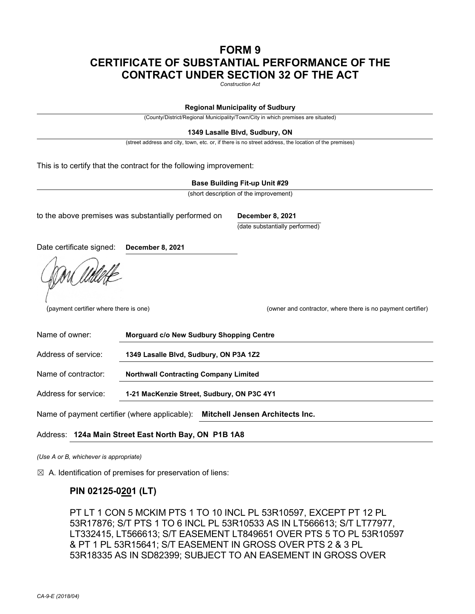# **FORM 9 CERTIFICATE OF SUBSTANTIAL PERFORMANCE OF THE CONTRACT UNDER SECTION 32 OF THE ACT**

*Construction Act* 

#### **Regional Municipality of Sudbury**

(County/District/Regional Municipality/Town/City in which premises are situated)

#### **1349 Lasalle Blvd, Sudbury, ON**

(street address and city, town, etc. or, if there is no street address, the location of the premises)

This is to certify that the contract for the following improvement:

#### **Base Building Fit-up Unit #29**

(short description of the improvement)

to the above premises was substantially performed on **December 8, 2021**

(date substantially performed)

Date certificate signed: **December 8, 2021**

(payment certifier where there is one)

(owner and contractor, where there is no payment certifier)

| Name of owner:                                                                          | Morguard c/o New Sudbury Shopping Centre     |
|-----------------------------------------------------------------------------------------|----------------------------------------------|
| Address of service:                                                                     | 1349 Lasalle Blvd, Sudbury, ON P3A 1Z2       |
| Name of contractor:                                                                     | <b>Northwall Contracting Company Limited</b> |
| Address for service:                                                                    | 1-21 MacKenzie Street, Sudbury, ON P3C 4Y1   |
| Name of payment certifier (where applicable):<br><b>Mitchell Jensen Architects Inc.</b> |                                              |

#### Address: **124a Main Street East North Bay, ON P1B 1A8**

*(Use A or B, whichever is appropriate)* 

 $\boxtimes$  A. Identification of premises for preservation of liens:

## **PIN 02125-0201 (LT)**

PT LT 1 CON 5 MCKIM PTS 1 TO 10 INCL PL 53R10597, EXCEPT PT 12 PL 53R17876; S/T PTS 1 TO 6 INCL PL 53R10533 AS IN LT566613; S/T LT77977, LT332415, LT566613; S/T EASEMENT LT849651 OVER PTS 5 TO PL 53R10597 & PT 1 PL 53R15641; S/T EASEMENT IN GROSS OVER PTS 2 & 3 PL 53R18335 AS IN SD82399; SUBJECT TO AN EASEMENT IN GROSS OVER